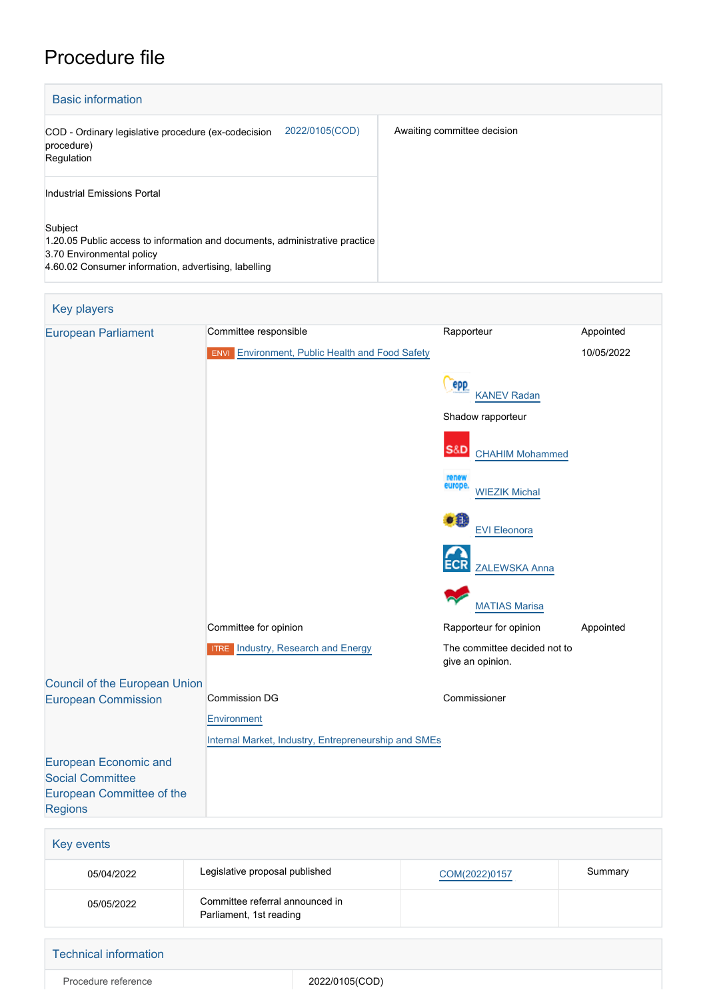## Procedure file

| <b>Basic information</b>                                                                                                                                                    |                             |  |  |  |
|-----------------------------------------------------------------------------------------------------------------------------------------------------------------------------|-----------------------------|--|--|--|
| 2022/0105(COD)<br>COD - Ordinary legislative procedure (ex-codecision<br>procedure)<br>Regulation                                                                           | Awaiting committee decision |  |  |  |
| Industrial Emissions Portal                                                                                                                                                 |                             |  |  |  |
| Subject<br>1.20.05 Public access to information and documents, administrative practice<br>3.70 Environmental policy<br>4.60.02 Consumer information, advertising, labelling |                             |  |  |  |

| <b>Key players</b>                                                                   |                                                        |                                                  |            |
|--------------------------------------------------------------------------------------|--------------------------------------------------------|--------------------------------------------------|------------|
| <b>European Parliament</b>                                                           | Committee responsible                                  | Rapporteur                                       | Appointed  |
|                                                                                      | <b>ENVI</b> Environment, Public Health and Food Safety |                                                  | 10/05/2022 |
|                                                                                      |                                                        | <b>PPP</b><br><b>KANEV Radan</b>                 |            |
|                                                                                      |                                                        | Shadow rapporteur                                |            |
|                                                                                      |                                                        | S&D<br><b>CHAHIM Mohammed</b>                    |            |
|                                                                                      |                                                        | renew<br>europe<br><b>WIEZIK Michal</b>          |            |
|                                                                                      |                                                        | DB 3<br><b>EVI Eleonora</b>                      |            |
|                                                                                      |                                                        | <b>ZALEWSKA Anna</b>                             |            |
|                                                                                      |                                                        | <b>MATIAS Marisa</b>                             |            |
|                                                                                      | Committee for opinion                                  | Rapporteur for opinion                           | Appointed  |
|                                                                                      | <b>Industry, Research and Energy</b><br><b>ITRE</b>    | The committee decided not to<br>give an opinion. |            |
| <b>Council of the European Union</b>                                                 |                                                        |                                                  |            |
| <b>European Commission</b>                                                           | Commission DG                                          | Commissioner                                     |            |
|                                                                                      | Environment                                            |                                                  |            |
|                                                                                      | Internal Market, Industry, Entrepreneurship and SMEs   |                                                  |            |
| <b>European Economic and</b><br><b>Social Committee</b><br>European Committee of the |                                                        |                                                  |            |
| <b>Regions</b>                                                                       |                                                        |                                                  |            |

| Key events |                                                            |               |         |
|------------|------------------------------------------------------------|---------------|---------|
| 05/04/2022 | Legislative proposal published                             | COM(2022)0157 | Summary |
| 05/05/2022 | Committee referral announced in<br>Parliament, 1st reading |               |         |
|            |                                                            |               |         |

| <b>Technical information</b> |                |
|------------------------------|----------------|
| Procedure reference          | 2022/0105(COD) |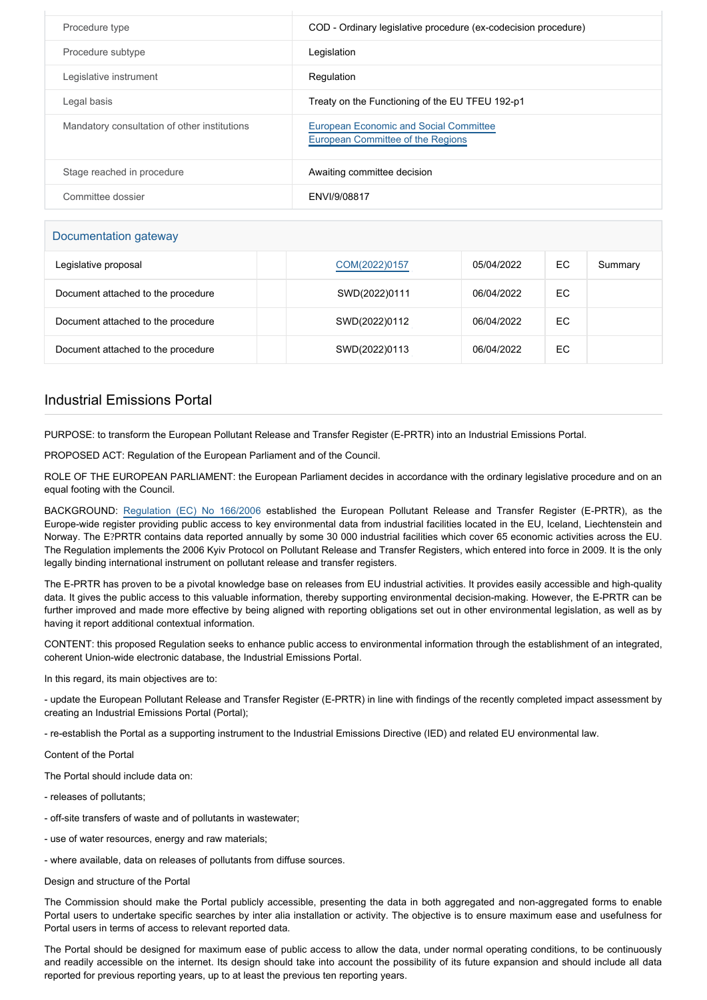| Procedure type                               | COD - Ordinary legislative procedure (ex-codecision procedure)                     |
|----------------------------------------------|------------------------------------------------------------------------------------|
| Procedure subtype                            | Legislation                                                                        |
| Legislative instrument                       | Regulation                                                                         |
| Legal basis                                  | Treaty on the Functioning of the EU TFEU 192-p1                                    |
| Mandatory consultation of other institutions | <b>European Economic and Social Committee</b><br>European Committee of the Regions |
| Stage reached in procedure                   | Awaiting committee decision                                                        |
| Committee dossier                            | ENVI/9/08817                                                                       |

## Documentation gateway

| Legislative proposal               | COM(2022)0157 | 05/04/2022 | EC | Summary |
|------------------------------------|---------------|------------|----|---------|
| Document attached to the procedure | SWD(2022)0111 | 06/04/2022 | EC |         |
| Document attached to the procedure | SWD(2022)0112 | 06/04/2022 | EC |         |
| Document attached to the procedure | SWD(2022)0113 | 06/04/2022 | EC |         |

## Industrial Emissions Portal

PURPOSE: to transform the European Pollutant Release and Transfer Register (E-PRTR) into an Industrial Emissions Portal.

PROPOSED ACT: Regulation of the European Parliament and of the Council.

ROLE OF THE EUROPEAN PARLIAMENT: the European Parliament decides in accordance with the ordinary legislative procedure and on an equal footing with the Council.

BACKGROUND: [Regulation \(EC\) No 166/200](https://eur-lex.europa.eu/legal-content/EN/TXT/PDF/?uri=CELEX:32006R0166&from=EN)6 established the European Pollutant Release and Transfer Register (E-PRTR), as the Europe-wide register providing public access to key environmental data from industrial facilities located in the EU, Iceland, Liechtenstein and Norway. The E?PRTR contains data reported annually by some 30 000 industrial facilities which cover 65 economic activities across the EU. The Regulation implements the 2006 Kyiv Protocol on Pollutant Release and Transfer Registers, which entered into force in 2009. It is the only legally binding international instrument on pollutant release and transfer registers.

The E-PRTR has proven to be a pivotal knowledge base on releases from EU industrial activities. It provides easily accessible and high-quality data. It gives the public access to this valuable information, thereby supporting environmental decision-making. However, the E-PRTR can be further improved and made more effective by being aligned with reporting obligations set out in other environmental legislation, as well as by having it report additional contextual information.

CONTENT: this proposed Regulation seeks to enhance public access to environmental information through the establishment of an integrated, coherent Union-wide electronic database, the Industrial Emissions Portal.

In this regard, its main objectives are to:

- update the European Pollutant Release and Transfer Register (E-PRTR) in line with findings of the recently completed impact assessment by creating an Industrial Emissions Portal (Portal);

- re-establish the Portal as a supporting instrument to the Industrial Emissions Directive (IED) and related EU environmental law.

Content of the Portal

The Portal should include data on:

- releases of pollutants;
- off-site transfers of waste and of pollutants in wastewater;
- use of water resources, energy and raw materials;
- where available, data on releases of pollutants from diffuse sources.

Design and structure of the Portal

The Commission should make the Portal publicly accessible, presenting the data in both aggregated and non-aggregated forms to enable Portal users to undertake specific searches by inter alia installation or activity. The objective is to ensure maximum ease and usefulness for Portal users in terms of access to relevant reported data.

The Portal should be designed for maximum ease of public access to allow the data, under normal operating conditions, to be continuously and readily accessible on the internet. Its design should take into account the possibility of its future expansion and should include all data reported for previous reporting years, up to at least the previous ten reporting years.